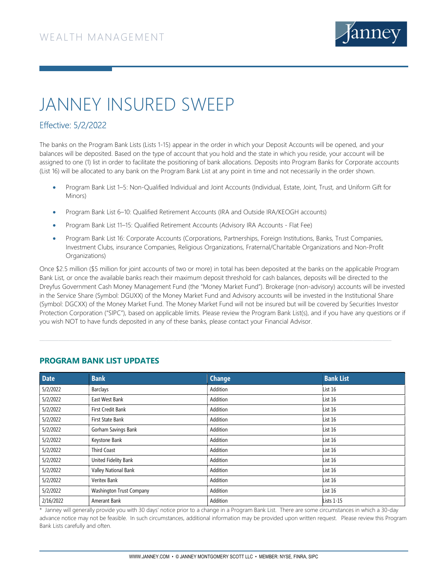

## JANNEY INSURED SWEEP

## Effective: 5/2/2022

The banks on the Program Bank Lists (Lists 1-15) appear in the order in which your Deposit Accounts will be opened, and your balances will be deposited. Based on the type of account that you hold and the state in which you reside, your account will be assigned to one (1) list in order to facilitate the positioning of bank allocations. Deposits into Program Banks for Corporate accounts (List 16) will be allocated to any bank on the Program Bank List at any point in time and not necessarily in the order shown.

- Program Bank List 1–5: Non-Qualified Individual and Joint Accounts (Individual, Estate, Joint, Trust, and Uniform Gift for Minors)
- Program Bank List 6–10: Qualified Retirement Accounts (IRA and Outside IRA/KEOGH accounts)
- Program Bank List 11–15: Qualified Retirement Accounts (Advisory IRA Accounts Flat Fee)
- Program Bank List 16: Corporate Accounts (Corporations, Partnerships, Foreign Institutions, Banks, Trust Companies, Investment Clubs, insurance Companies, Religious Organizations, Fraternal/Charitable Organizations and Non-Profit Organizations)

Once \$2.5 million (\$5 million for joint accounts of two or more) in total has been deposited at the banks on the applicable Program Bank List, or once the available banks reach their maximum deposit threshold for cash balances, deposits will be directed to the Dreyfus Government Cash Money Management Fund (the "Money Market Fund"). Brokerage (non-advisory) accounts will be invested in the Service Share (Symbol: DGUXX) of the Money Market Fund and Advisory accounts will be invested in the Institutional Share (Symbol: DGCXX) of the Money Market Fund. The Money Market Fund will not be insured but will be covered by Securities Investor Protection Corporation ("SIPC"), based on applicable limits. Please review the Program Bank List(s), and if you have any questions or if you wish NOT to have funds deposited in any of these banks, please contact your Financial Advisor.

| <b>Date</b> | <b>Bank</b>              | <b>Change</b> | <b>Bank List</b>  |
|-------------|--------------------------|---------------|-------------------|
| 5/2/2022    | <b>Barclays</b>          | Addition      | List 16           |
| 5/2/2022    | East West Bank           | Addition      | List 16           |
| 5/2/2022    | First Credit Bank        | Addition      | List 16           |
| 5/2/2022    | First State Bank         | Addition      | List 16           |
| 5/2/2022    | Gorham Savings Bank      | Addition      | List 16           |
| 5/2/2022    | Keystone Bank            | Addition      | List 16           |
| 5/2/2022    | <b>Third Coast</b>       | Addition      | List 16           |
| 5/2/2022    | United Fidelity Bank     | Addition      | List 16           |
| 5/2/2022    | Valley National Bank     | Addition      | List 16           |
| 5/2/2022    | Veritex Bank             | Addition      | List 16           |
| 5/2/2022    | Washington Trust Company | Addition      | List 16           |
| 2/16/2022   | Amerant Bank             | Addition      | <b>Lists 1-15</b> |

## PROGRAM BANK LIST UPDATES

\* Janney will generally provide you with 30 days' notice prior to a change in a Program Bank List. There are some circumstances in which a 30-day advance notice may not be feasible. In such circumstances, additional information may be provided upon written request. Please review this Program Bank Lists carefully and often.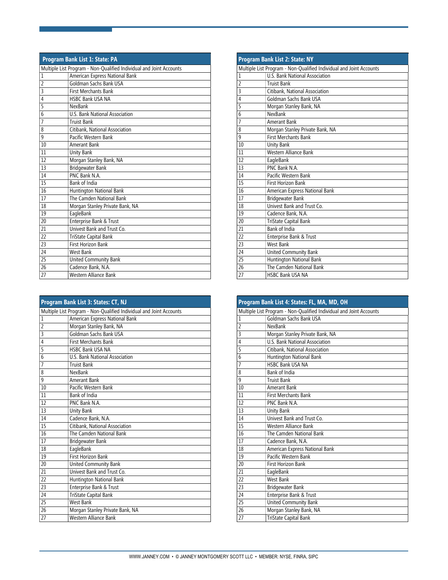| Program Bank List 1: State: PA                                      |                                 |  |
|---------------------------------------------------------------------|---------------------------------|--|
| Multiple List Program - Non-Qualified Individual and Joint Accounts |                                 |  |
| $\mathbf 1$                                                         | American Express National Bank  |  |
| $\overline{2}$                                                      | Goldman Sachs Bank USA          |  |
| 3                                                                   | <b>First Merchants Bank</b>     |  |
| 4                                                                   | <b>HSBC Bank USA NA</b>         |  |
| 5                                                                   | NexBank                         |  |
| 6                                                                   | U.S. Bank National Association  |  |
| 7                                                                   | <b>Truist Bank</b>              |  |
| 8                                                                   | Citibank, National Association  |  |
| 9                                                                   | Pacific Western Bank            |  |
| 10                                                                  | Amerant Bank                    |  |
| 11                                                                  | <b>Unity Bank</b>               |  |
| 12                                                                  | Morgan Stanley Bank, NA         |  |
| 13                                                                  | Bridgewater Bank                |  |
| 14                                                                  | PNC Bank N.A.                   |  |
| 15                                                                  | Bank of India                   |  |
| 16                                                                  | Huntington National Bank        |  |
| 17                                                                  | The Camden National Bank        |  |
| 18                                                                  | Morgan Stanley Private Bank, NA |  |
| 19                                                                  | EagleBank                       |  |
| 20                                                                  | Enterprise Bank & Trust         |  |
| 21                                                                  | Univest Bank and Trust Co.      |  |
| 22                                                                  | TriState Capital Bank           |  |
| 23                                                                  | <b>First Horizon Bank</b>       |  |
| 24                                                                  | West Bank                       |  |
| 25                                                                  | United Community Bank           |  |
| 26                                                                  | Cadence Bank, N.A.              |  |
| 27                                                                  | Western Alliance Bank           |  |

| Program Bank List 3: States: CT, NJ                                 |                                 |  |
|---------------------------------------------------------------------|---------------------------------|--|
| Multiple List Program - Non-Qualified Individual and Joint Accounts |                                 |  |
| 1                                                                   | American Express National Bank  |  |
| $\overline{2}$                                                      | Morgan Stanley Bank, NA         |  |
| 3                                                                   | Goldman Sachs Bank USA          |  |
| $\overline{4}$                                                      | <b>First Merchants Bank</b>     |  |
| 5                                                                   | <b>HSBC Bank USA NA</b>         |  |
| 6                                                                   | U.S. Bank National Association  |  |
| $\overline{1}$                                                      | <b>Truist Bank</b>              |  |
| 8                                                                   | NexBank                         |  |
| 9                                                                   | Amerant Bank                    |  |
| 10                                                                  | Pacific Western Bank            |  |
| 11                                                                  | <b>Bank of India</b>            |  |
| 12                                                                  | PNC Bank N.A.                   |  |
| 13                                                                  | <b>Unity Bank</b>               |  |
| 14                                                                  | Cadence Bank, N.A.              |  |
| 15                                                                  | Citibank, National Association  |  |
| 16                                                                  | The Camden National Bank        |  |
| 17                                                                  | <b>Bridgewater Bank</b>         |  |
| 18                                                                  | EagleBank                       |  |
| 19                                                                  | <b>First Horizon Bank</b>       |  |
| 20                                                                  | United Community Bank           |  |
| 21                                                                  | Univest Bank and Trust Co.      |  |
| 22                                                                  | Huntington National Bank        |  |
| 23                                                                  | Enterprise Bank & Trust         |  |
| 24                                                                  | TriState Capital Bank           |  |
| 25                                                                  | <b>West Bank</b>                |  |
| $\overline{26}$                                                     | Morgan Stanley Private Bank, NA |  |
| 27                                                                  | Western Alliance Bank           |  |

| <b>Program Bank List 2: State: NY</b> |                                                                     |  |
|---------------------------------------|---------------------------------------------------------------------|--|
|                                       | Multiple List Program - Non-Qualified Individual and Joint Accounts |  |
| 1                                     | U.S. Bank National Association                                      |  |
| $\overline{2}$                        | <b>Truist Bank</b>                                                  |  |
| 3                                     | Citibank, National Association                                      |  |
| $\overline{4}$                        | Goldman Sachs Bank USA                                              |  |
| 5                                     | Morgan Stanley Bank, NA                                             |  |
| 6                                     | NexBank                                                             |  |
| $\overline{7}$                        | Amerant Bank                                                        |  |
| 8                                     | Morgan Stanley Private Bank, NA                                     |  |
| 9                                     | <b>First Merchants Bank</b>                                         |  |
| 10                                    | <b>Unity Bank</b>                                                   |  |
| 11                                    | <b>Western Alliance Bank</b>                                        |  |
| 12                                    | EagleBank                                                           |  |
| 13                                    | PNC Bank N A                                                        |  |
| 14                                    | Pacific Western Bank                                                |  |
| 15                                    | First Horizon Bank                                                  |  |
| 16                                    | American Express National Bank                                      |  |
| 17                                    | Bridgewater Bank                                                    |  |
| 18                                    | Univest Bank and Trust Co.                                          |  |
| 19                                    | Cadence Bank, N.A.                                                  |  |
| 20                                    | TriState Capital Bank                                               |  |
| 21                                    | Bank of India                                                       |  |
| 22                                    | Enterprise Bank & Trust                                             |  |
| 23                                    | <b>West Bank</b>                                                    |  |
| 74                                    | United Community Bank                                               |  |
| 25                                    | Huntington National Bank                                            |  |
| 26                                    | The Camden National Bank                                            |  |
| 27                                    | <b>HSBC Bank USA NA</b>                                             |  |

| Program Bank List 4: States: FL, MA, MD, OH |                                                                     |  |
|---------------------------------------------|---------------------------------------------------------------------|--|
|                                             | Multiple List Program - Non-Qualified Individual and Joint Accounts |  |
| 1                                           | Goldman Sachs Bank USA                                              |  |
| $\overline{2}$                              | NexBank                                                             |  |
| $\overline{3}$                              | Morgan Stanley Private Bank, NA                                     |  |
| $\overline{4}$                              | U.S. Bank National Association                                      |  |
| $\overline{5}$                              | Citibank, National Association                                      |  |
| $\overline{6}$                              | Huntington National Bank                                            |  |
| $\overline{7}$                              | <b>HSBC Bank USA NA</b>                                             |  |
| 8                                           | Bank of India                                                       |  |
| 9                                           | <b>Truist Bank</b>                                                  |  |
| 10                                          | Amerant Bank                                                        |  |
| 11                                          | <b>First Merchants Bank</b>                                         |  |
| 12                                          | PNC Bank N A                                                        |  |
| 13                                          | Unity Bank                                                          |  |
| 14                                          | Univest Bank and Trust Co.                                          |  |
| 15                                          | Western Alliance Bank                                               |  |
| 16                                          | The Camden National Bank                                            |  |
| 17                                          | Cadence Bank, N.A.                                                  |  |
| 18                                          | American Express National Bank                                      |  |
| 19                                          | Pacific Western Bank                                                |  |
| 20                                          | <b>First Horizon Bank</b>                                           |  |
| 21                                          | EagleBank                                                           |  |
| 22                                          | <b>West Bank</b>                                                    |  |
| 23                                          | Bridgewater Bank                                                    |  |
| 24                                          | Enterprise Bank & Trust                                             |  |
| 25                                          | United Community Bank                                               |  |
| 26                                          | Morgan Stanley Bank, NA                                             |  |
| 27                                          | TriState Capital Bank                                               |  |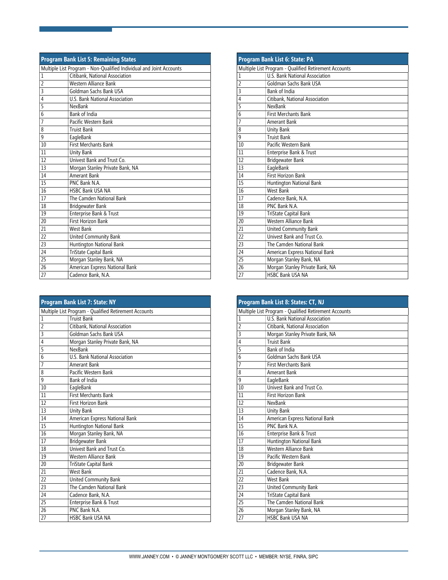| <b>Program Bank List 5: Remaining States</b>                        |                                 |
|---------------------------------------------------------------------|---------------------------------|
| Multiple List Program - Non-Qualified Individual and Joint Accounts |                                 |
| $\mathbf{1}$                                                        | Citibank, National Association  |
| $\overline{2}$                                                      | Western Alliance Bank           |
| 3                                                                   | Goldman Sachs Bank USA          |
| $\overline{4}$                                                      | U.S. Bank National Association  |
| 5                                                                   | NexBank                         |
| 6                                                                   | Bank of India                   |
| $\overline{7}$                                                      | Pacific Western Bank            |
| 8                                                                   | <b>Truist Bank</b>              |
| 9                                                                   | EagleBank                       |
| 10                                                                  | <b>First Merchants Bank</b>     |
| 11                                                                  | <b>Unity Bank</b>               |
| 12                                                                  | Univest Bank and Trust Co.      |
| 13                                                                  | Morgan Stanley Private Bank, NA |
| 14                                                                  | Amerant Bank                    |
| 15                                                                  | PNC Bank N.A.                   |
| 16                                                                  | <b>HSBC Bank USA NA</b>         |
| 17                                                                  | The Camden National Bank        |
| 18                                                                  | <b>Bridgewater Bank</b>         |
| 19                                                                  | Enterprise Bank & Trust         |
| 20                                                                  | <b>First Horizon Bank</b>       |
| 21                                                                  | <b>West Bank</b>                |
| 22                                                                  | United Community Bank           |
| 23                                                                  | Huntington National Bank        |
| 24                                                                  | TriState Capital Bank           |
| 25                                                                  | Morgan Stanley Bank, NA         |
| 26                                                                  | American Express National Bank  |
| 27                                                                  | Cadence Bank, N.A.              |

| Program Bank List 7: State: NY                        |                                 |  |
|-------------------------------------------------------|---------------------------------|--|
| Multiple List Program - Qualified Retirement Accounts |                                 |  |
| 1                                                     | <b>Truist Bank</b>              |  |
| $\overline{2}$                                        | Citibank, National Association  |  |
| 3                                                     | Goldman Sachs Bank USA          |  |
| 4                                                     | Morgan Stanley Private Bank, NA |  |
| 5                                                     | NexBank                         |  |
| 6                                                     | U.S. Bank National Association  |  |
| 7                                                     | Amerant Bank                    |  |
| 8                                                     | Pacific Western Bank            |  |
| 9                                                     | Bank of India                   |  |
| 10                                                    | EagleBank                       |  |
| 11                                                    | <b>First Merchants Bank</b>     |  |
| 12                                                    | <b>First Horizon Bank</b>       |  |
| 13                                                    | <b>Unity Bank</b>               |  |
| 14                                                    | American Express National Bank  |  |
| 15                                                    | Huntington National Bank        |  |
| 16                                                    | Morgan Stanley Bank, NA         |  |
| 17                                                    | <b>Bridgewater Bank</b>         |  |
| 18                                                    | Univest Bank and Trust Co.      |  |
| 19                                                    | Western Alliance Bank           |  |
| 20                                                    | TriState Capital Bank           |  |
| 21                                                    | <b>West Bank</b>                |  |
| 22                                                    | United Community Bank           |  |
| 23                                                    | The Camden National Bank        |  |
| 24                                                    | Cadence Bank, N.A.              |  |
| 25                                                    | Enterprise Bank & Trust         |  |
| 26                                                    | PNC Bank N A                    |  |
| 27                                                    | <b>HSBC Bank USA NA</b>         |  |

| Program Bank List 6: State: PA |                                                       |  |
|--------------------------------|-------------------------------------------------------|--|
|                                | Multiple List Program - Qualified Retirement Accounts |  |
| 1                              | U.S. Bank National Association                        |  |
| $\overline{2}$                 | Goldman Sachs Bank USA                                |  |
| 3                              | Bank of India                                         |  |
| $\overline{4}$                 | Citibank, National Association                        |  |
| 5                              | NexBank                                               |  |
| 6                              | <b>First Merchants Bank</b>                           |  |
| $\overline{7}$                 | Amerant Bank                                          |  |
| 8                              | <b>Unity Bank</b>                                     |  |
| 9                              | <b>Truist Bank</b>                                    |  |
| 10                             | Pacific Western Bank                                  |  |
| 11                             | Enterprise Bank & Trust                               |  |
| 12                             | <b>Bridgewater Bank</b>                               |  |
| 13                             | EagleBank                                             |  |
| 14                             | <b>First Horizon Bank</b>                             |  |
| 15                             | Huntington National Bank                              |  |
| 16                             | <b>West Bank</b>                                      |  |
| 17                             | Cadence Bank, N.A.                                    |  |
| 18                             | PNC Bank N.A.                                         |  |
| 19                             | TriState Capital Bank                                 |  |
| 20                             | Western Alliance Bank                                 |  |
| 21                             | United Community Bank                                 |  |
| 22                             | Univest Bank and Trust Co.                            |  |
| 23                             | The Camden National Bank                              |  |
| 24                             | American Express National Bank                        |  |
| 25                             | Morgan Stanley Bank, NA                               |  |
| 26                             | Morgan Stanley Private Bank, NA                       |  |
| 27                             | HSBC Bank USA NA                                      |  |

| Program Bank List 8: States: CT, NJ |                                                       |
|-------------------------------------|-------------------------------------------------------|
|                                     | Multiple List Program - Qualified Retirement Accounts |
| 1                                   | U.S. Bank National Association                        |
| $\overline{2}$                      | Citibank, National Association                        |
| $\overline{3}$                      | Morgan Stanley Private Bank, NA                       |
| $\overline{4}$                      | <b>Truist Bank</b>                                    |
| 5                                   | Bank of India                                         |
| 6                                   | Goldman Sachs Bank USA                                |
| 7                                   | <b>First Merchants Bank</b>                           |
| 8                                   | Amerant Bank                                          |
| 9                                   | EagleBank                                             |
| 10                                  | Univest Bank and Trust Co.                            |
| 11                                  | <b>First Horizon Bank</b>                             |
| 12                                  | NexBank                                               |
| 13                                  | <b>Unity Bank</b>                                     |
| 14                                  | American Express National Bank                        |
| 15                                  | PNC Bank N.A.                                         |
| 16                                  | Enterprise Bank & Trust                               |
| 17                                  | <b>Huntington National Bank</b>                       |
| 18                                  | Western Alliance Bank                                 |
| 19                                  | Pacific Western Bank                                  |
| 20                                  | Bridgewater Bank                                      |
| 21                                  | Cadence Bank, N.A.                                    |
| 22                                  | <b>West Bank</b>                                      |
| 23                                  | United Community Bank                                 |
| 24                                  | TriState Capital Bank                                 |
| 25                                  | The Camden National Bank                              |
| 26                                  | Morgan Stanley Bank, NA                               |
| 27                                  | <b>HSBC Bank USA NA</b>                               |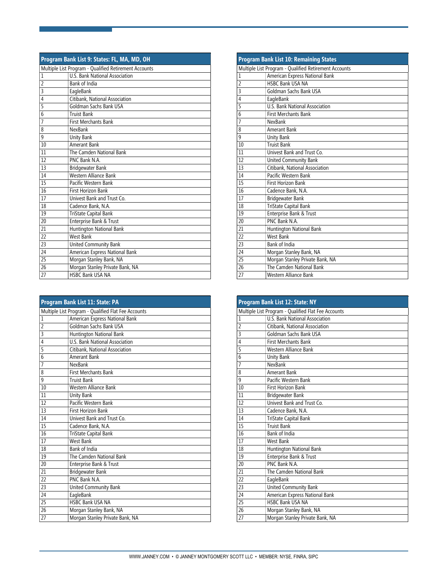| Program Bank List 9: States: FL, MA, MD, OH           |                                 |  |
|-------------------------------------------------------|---------------------------------|--|
| Multiple List Program - Qualified Retirement Accounts |                                 |  |
| 1                                                     | U.S. Bank National Association  |  |
| $\overline{2}$                                        | Bank of India                   |  |
| 3                                                     | EagleBank                       |  |
| 4                                                     | Citibank, National Association  |  |
| 5                                                     | Goldman Sachs Bank USA          |  |
| 6                                                     | <b>Truist Bank</b>              |  |
| $\overline{7}$                                        | <b>First Merchants Bank</b>     |  |
| 8                                                     | NexBank                         |  |
| 9                                                     | <b>Unity Bank</b>               |  |
| $10\,$                                                | Amerant Bank                    |  |
| 11                                                    | The Camden National Bank        |  |
| 12                                                    | PNC Bank N.A.                   |  |
| 13                                                    | Bridgewater Bank                |  |
| 14                                                    | Western Alliance Bank           |  |
| 15                                                    | Pacific Western Bank            |  |
| 16                                                    | First Horizon Bank              |  |
| 17                                                    | Univest Bank and Trust Co.      |  |
| 18                                                    | Cadence Bank, N.A.              |  |
| 19                                                    | TriState Capital Bank           |  |
| 20                                                    | Enterprise Bank & Trust         |  |
| 21                                                    | Huntington National Bank        |  |
| 22                                                    | <b>West Bank</b>                |  |
| 23                                                    | United Community Bank           |  |
| 24                                                    | American Express National Bank  |  |
| 25                                                    | Morgan Stanley Bank, NA         |  |
| 26                                                    | Morgan Stanley Private Bank, NA |  |
| 27                                                    | HSBC Bank USA NA                |  |

| Program Bank List 11: State: PA |                                                     |  |  |
|---------------------------------|-----------------------------------------------------|--|--|
|                                 | Multiple List Program - Qualified Flat Fee Accounts |  |  |
| 1                               | American Express National Bank                      |  |  |
| $\overline{2}$                  | Goldman Sachs Bank USA                              |  |  |
| 3                               | Huntington National Bank                            |  |  |
| $\overline{4}$                  | <b>U.S. Bank National Association</b>               |  |  |
| 5                               | Citibank, National Association                      |  |  |
| $\overline{6}$                  | Amerant Bank                                        |  |  |
| 7                               | NexBank                                             |  |  |
| 8                               | <b>First Merchants Bank</b>                         |  |  |
| 9                               | <b>Truist Bank</b>                                  |  |  |
| 10                              | Western Alliance Bank                               |  |  |
| 11                              | Unity Bank                                          |  |  |
| 12                              | Pacific Western Bank                                |  |  |
| 13                              | <b>First Horizon Bank</b>                           |  |  |
| 14                              | Univest Bank and Trust Co.                          |  |  |
| 15                              | Cadence Bank, N.A.                                  |  |  |
| 16                              | <b>TriState Capital Bank</b>                        |  |  |
| 17                              | West Bank                                           |  |  |
| 18                              | Bank of India                                       |  |  |
| 19                              | The Camden National Bank                            |  |  |
| 20                              | Enterprise Bank & Trust                             |  |  |
| 21                              | <b>Bridgewater Bank</b>                             |  |  |
| 22                              | PNC Bank N.A.                                       |  |  |
| 23                              | United Community Bank                               |  |  |
| 24                              | EagleBank                                           |  |  |
| 25                              | <b>HSBC Bank USA NA</b>                             |  |  |
| 26                              | Morgan Stanley Bank, NA                             |  |  |
| 27                              | Morgan Stanley Private Bank, NA                     |  |  |

|                | <b>Program Bank List 10: Remaining States</b>         |  |
|----------------|-------------------------------------------------------|--|
|                | Multiple List Program - Qualified Retirement Accounts |  |
| 1              | American Express National Bank                        |  |
| $\overline{2}$ | <b>HSBC Bank USA NA</b>                               |  |
| 3              | Goldman Sachs Bank USA                                |  |
| 4              | EagleBank                                             |  |
| 5              | U.S. Bank National Association                        |  |
| $\overline{6}$ | <b>First Merchants Bank</b>                           |  |
| $\overline{7}$ | NexBank                                               |  |
| 8              | Amerant Bank                                          |  |
| 9              | Unity Bank                                            |  |
| 10             | <b>Truist Bank</b>                                    |  |
| 11             | Univest Bank and Trust Co.                            |  |
| 12             | United Community Bank                                 |  |
| 13             | Citibank, National Association                        |  |
| 14             | Pacific Western Bank                                  |  |
| 15             | First Horizon Bank                                    |  |
| 16             | Cadence Bank, N.A.                                    |  |
| 17             | Bridgewater Bank                                      |  |
| 18             | TriState Capital Bank                                 |  |
| 19             | Enterprise Bank & Trust                               |  |
| 20             | PNC Bank N.A.                                         |  |
| 21             | Huntington National Bank                              |  |
| 22             | <b>West Bank</b>                                      |  |
| 23             | Bank of India                                         |  |
| 24             | Morgan Stanley Bank, NA                               |  |
| 25             | Morgan Stanley Private Bank, NA                       |  |
| 26             | The Camden National Bank                              |  |
| 27             | Western Alliance Bank                                 |  |

|                                                     | <b>Program Bank List 12: State: NY</b> |  |  |
|-----------------------------------------------------|----------------------------------------|--|--|
| Multiple List Program - Qualified Flat Fee Accounts |                                        |  |  |
| $\mathbf{1}$                                        | U.S. Bank National Association         |  |  |
| $\overline{2}$                                      | Citibank, National Association         |  |  |
| $\overline{3}$                                      | Goldman Sachs Bank USA                 |  |  |
| $\overline{4}$                                      | <b>First Merchants Bank</b>            |  |  |
| $\overline{5}$                                      | Western Alliance Bank                  |  |  |
| $\overline{6}$                                      | Unity Bank                             |  |  |
| $\overline{7}$                                      | NexBank                                |  |  |
| 8                                                   | Amerant Bank                           |  |  |
| 9                                                   | Pacific Western Bank                   |  |  |
| 10                                                  | <b>First Horizon Bank</b>              |  |  |
| 11                                                  | Bridgewater Bank                       |  |  |
| 12                                                  | Univest Bank and Trust Co.             |  |  |
| 13                                                  | Cadence Bank, N.A.                     |  |  |
| 14                                                  | TriState Capital Bank                  |  |  |
| 15                                                  | <b>Truist Bank</b>                     |  |  |
| 16                                                  | Bank of India                          |  |  |
| 17                                                  | West Bank                              |  |  |
| 18                                                  | Huntington National Bank               |  |  |
| 19                                                  | Enterprise Bank & Trust                |  |  |
| 20                                                  | PNC Bank N A                           |  |  |
| 21                                                  | The Camden National Bank               |  |  |
| 22                                                  | EagleBank                              |  |  |
| 23                                                  | United Community Bank                  |  |  |
| 24                                                  | American Express National Bank         |  |  |
| 25                                                  | <b>HSBC Bank USA NA</b>                |  |  |
| 26                                                  | Morgan Stanley Bank, NA                |  |  |
| 27                                                  | Morgan Stanley Private Bank, NA        |  |  |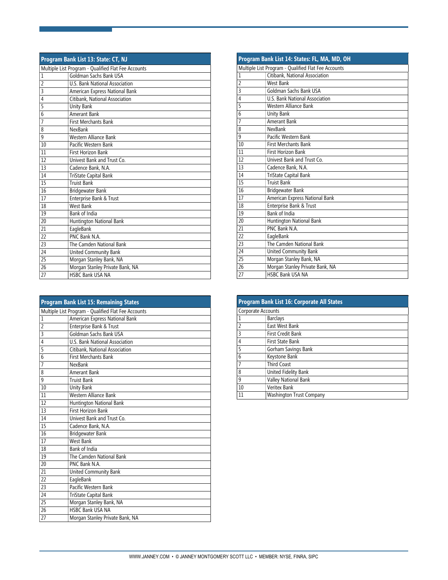| Program Bank List 13: State: CT, NJ                 |                                 |  |
|-----------------------------------------------------|---------------------------------|--|
| Multiple List Program - Qualified Flat Fee Accounts |                                 |  |
| $\mathbf{1}$                                        | Goldman Sachs Bank USA          |  |
| $\overline{2}$                                      | U.S. Bank National Association  |  |
| 3                                                   | American Express National Bank  |  |
| 4                                                   | Citibank, National Association  |  |
| 5                                                   | <b>Unity Bank</b>               |  |
| 6                                                   | Amerant Bank                    |  |
| $\overline{7}$                                      | First Merchants Bank            |  |
| 8                                                   | NexBank                         |  |
| 9                                                   | Western Alliance Bank           |  |
| 10                                                  | Pacific Western Bank            |  |
| 11                                                  | First Horizon Bank              |  |
| 12                                                  | Univest Bank and Trust Co.      |  |
| 13                                                  | Cadence Bank, N.A.              |  |
| 14                                                  | TriState Capital Bank           |  |
| 15                                                  | <b>Truist Bank</b>              |  |
| 16                                                  | Bridgewater Bank                |  |
| 17                                                  | Enterprise Bank & Trust         |  |
| 18                                                  | <b>West Bank</b>                |  |
| 19                                                  | Bank of India                   |  |
| 20                                                  | Huntington National Bank        |  |
| 21                                                  | EagleBank                       |  |
| 22                                                  | PNC Bank N.A.                   |  |
| 23                                                  | The Camden National Bank        |  |
| 24                                                  | United Community Bank           |  |
| 25                                                  | Morgan Stanley Bank, NA         |  |
| 26                                                  | Morgan Stanley Private Bank, NA |  |
| 27                                                  | HSBC Bank USA NA                |  |

| <b>Program Bank List 15: Remaining States</b>       |                                 |  |
|-----------------------------------------------------|---------------------------------|--|
| Multiple List Program - Qualified Flat Fee Accounts |                                 |  |
| 1                                                   | American Express National Bank  |  |
| $\overline{2}$                                      | Enterprise Bank & Trust         |  |
| 3                                                   | Goldman Sachs Bank USA          |  |
| $\overline{4}$                                      | U.S. Bank National Association  |  |
| 5                                                   | Citibank, National Association  |  |
| $\overline{6}$                                      | <b>First Merchants Bank</b>     |  |
| $\overline{7}$                                      | NexBank                         |  |
| 8                                                   | Amerant Bank                    |  |
| 9                                                   | <b>Truist Bank</b>              |  |
| 10                                                  | <b>Unity Bank</b>               |  |
| 11                                                  | Western Alliance Bank           |  |
| 12                                                  | Huntington National Bank        |  |
| 13                                                  | First Horizon Bank              |  |
| 14                                                  | Univest Bank and Trust Co.      |  |
| 15                                                  | Cadence Bank, N.A.              |  |
| 16                                                  | Bridgewater Bank                |  |
| 17                                                  | West Bank                       |  |
| 18                                                  | <b>Bank of India</b>            |  |
| 19                                                  | The Camden National Bank        |  |
| 20                                                  | PNC Bank N.A.                   |  |
| 21                                                  | United Community Bank           |  |
| 22                                                  | EagleBank                       |  |
| 23                                                  | Pacific Western Bank            |  |
| 24                                                  | TriState Capital Bank           |  |
| $\overline{25}$                                     | Morgan Stanley Bank, NA         |  |
| 26                                                  | <b>HSBC Bank USA NA</b>         |  |
| 27                                                  | Morgan Stanley Private Bank, NA |  |

|                | Program Bank List 14: States: FL, MA, MD, OH        |  |  |
|----------------|-----------------------------------------------------|--|--|
|                | Multiple List Program - Qualified Flat Fee Accounts |  |  |
| $\mathbf{1}$   | Citibank, National Association                      |  |  |
| $\overline{2}$ | <b>West Bank</b>                                    |  |  |
| 3              | Goldman Sachs Bank USA                              |  |  |
| 4              | U.S. Bank National Association                      |  |  |
| 5              | Western Alliance Bank                               |  |  |
| 6              | <b>Unity Bank</b>                                   |  |  |
| $\overline{7}$ | Amerant Bank                                        |  |  |
| 8              | NexBank                                             |  |  |
| 9              | Pacific Western Bank                                |  |  |
| 10             | <b>First Merchants Bank</b>                         |  |  |
| 11             | First Horizon Bank                                  |  |  |
| 12             | Univest Bank and Trust Co.                          |  |  |
| 13             | Cadence Bank, N.A.                                  |  |  |
| 14             | TriState Capital Bank                               |  |  |
| 15             | <b>Truist Bank</b>                                  |  |  |
| 16             | Bridgewater Bank                                    |  |  |
| 17             | American Express National Bank                      |  |  |
| 18             | Enterprise Bank & Trust                             |  |  |
| 19             | <b>Bank of India</b>                                |  |  |
| 20             | Huntington National Bank                            |  |  |
| 21             | PNC Bank N A                                        |  |  |
| 22             | EagleBank                                           |  |  |
| 23             | The Camden National Bank                            |  |  |
| 24             | United Community Bank                               |  |  |
| 25             | Morgan Stanley Bank, NA                             |  |  |
| 26             | Morgan Stanley Private Bank, NA                     |  |  |
| 27             | <b>HSBC Bank USA NA</b>                             |  |  |

| Program Bank List 16: Corporate All States |                          |  |
|--------------------------------------------|--------------------------|--|
| Corporate Accounts                         |                          |  |
|                                            | <b>Barclays</b>          |  |
| $\overline{\phantom{a}}$                   | East West Bank           |  |
| 3                                          | <b>First Credit Bank</b> |  |
| 4                                          | First State Bank         |  |
| 5                                          | Gorham Savings Bank      |  |
| 6                                          | Keystone Bank            |  |
|                                            | <b>Third Coast</b>       |  |
| 8                                          | United Fidelity Bank     |  |
| 9                                          | Valley National Bank     |  |
| 10                                         | <b>Veritex Bank</b>      |  |
| 11                                         | Washington Trust Company |  |